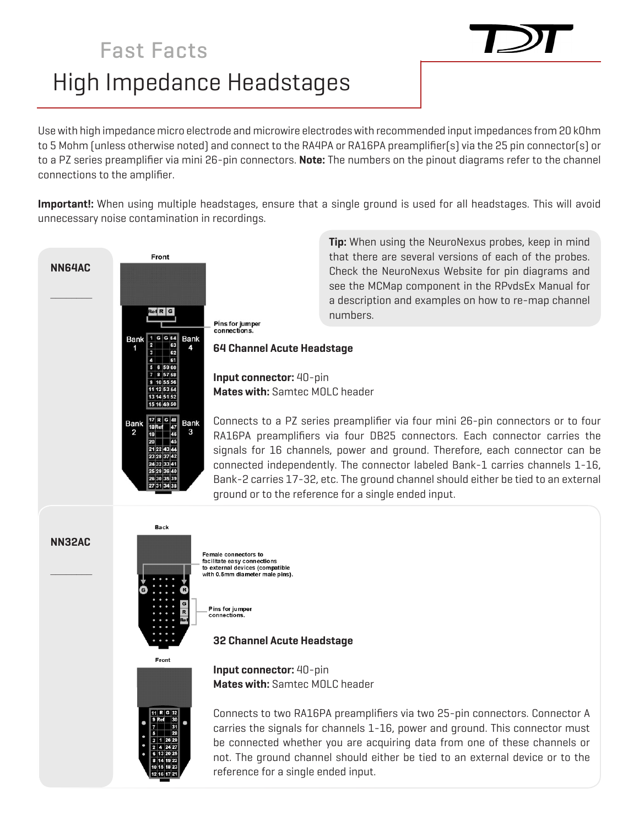## High Impedance Headstages Fast Facts



Use with high impedance micro electrode and microwire electrodes with recommended input impedances from 20 kOhm to 5 Mohm (unless otherwise noted) and connect to the RA4PA or RA16PA preamplifier(s) via the 25 pin connector(s) or to a PZ series preamplifier via mini 26-pin connectors. **Note:** The numbers on the pinout diagrams refer to the channel connections to the amplifier.

**Important!:** When using multiple headstages, ensure that a single ground is used for all headstages. This will avoid unnecessary noise contamination in recordings.



**Tip:** When using the NeuroNexus probes, keep in mind that there are several versions of each of the probes. Check the NeuroNexus Website for pin diagrams and see the MCMap component in the RPvdsEx Manual for a description and examples on how to re-map channel numbers.

**Mates with:** Samtec MOLC header

Connects to a PZ series preamplifier via four mini 26-pin connectors or to four RA16PA preamplifiers via four DB25 connectors. Each connector carries the signals for 16 channels, power and ground. Therefore, each connector can be connected independently. The connector labeled Bank-1 carries channels 1-16, Bank-2 carries 17-32, etc. The ground channel should either be tied to an external ground or to the reference for a single ended input.

**NN32AC**

 $\mathcal{L}=\mathcal{L}$ 



**Back** 

Female connectors to facilitate easy connections<br>to external devices (compatible<br>with 0.5mm diameter male pins).

Pins for jumper connections

## **32 Channel Acute Headstage**

**Mates with:** Samtec MOLC header

**Input connector:** 40-pin





Connects to two RA16PA preamplifiers via two 25-pin connectors. Connector A carries the signals for channels 1-16, power and ground. This connector must be connected whether you are acquiring data from one of these channels or not. The ground channel should either be tied to an external device or to the reference for a single ended input.